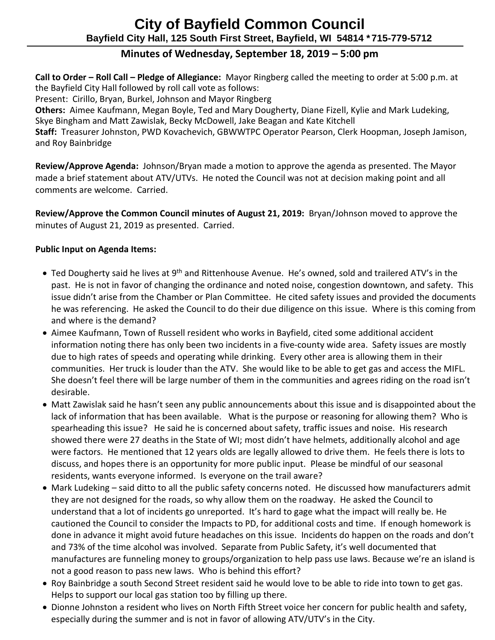# **Minutes of Wednesday, September 18, 2019 – 5:00 pm**

 **Call to Order – Roll Call – Pledge of Allegiance:** Mayor Ringberg called the meeting to order at 5:00 p.m. at the Bayfield City Hall followed by roll call vote as follows:

Present: Cirillo, Bryan, Burkel, Johnson and Mayor Ringberg

 **Others:** Aimee Kaufmann, Megan Boyle, Ted and Mary Dougherty, Diane Fizell, Kylie and Mark Ludeking, Skye Bingham and Matt Zawislak, Becky McDowell, Jake Beagan and Kate Kitchell

 **Staff:** Treasurer Johnston, PWD Kovachevich, GBWWTPC Operator Pearson, Clerk Hoopman, Joseph Jamison, and Roy Bainbridge

 **Review/Approve Agenda:** Johnson/Bryan made a motion to approve the agenda as presented. The Mayor made a brief statement about ATV/UTVs. He noted the Council was not at decision making point and all comments are welcome. Carried.

 **Review/Approve the Common Council minutes of August 21, 2019:** Bryan/Johnson moved to approve the minutes of August 21, 2019 as presented. Carried.

## **Public Input on Agenda Items:**

- Ted Dougherty said he lives at 9<sup>th</sup> and Rittenhouse Avenue. He's owned, sold and trailered ATV's in the past. He is not in favor of changing the ordinance and noted noise, congestion downtown, and safety. This issue didn't arise from the Chamber or Plan Committee. He cited safety issues and provided the documents he was referencing. He asked the Council to do their due diligence on this issue. Where is this coming from and where is the demand?
- Aimee Kaufmann, Town of Russell resident who works in Bayfield, cited some additional accident information noting there has only been two incidents in a five-county wide area. Safety issues are mostly due to high rates of speeds and operating while drinking. Every other area is allowing them in their communities. Her truck is louder than the ATV. She would like to be able to get gas and access the MIFL. She doesn't feel there will be large number of them in the communities and agrees riding on the road isn't desirable.
- Matt Zawislak said he hasn't seen any public announcements about this issue and is disappointed about the lack of information that has been available. What is the purpose or reasoning for allowing them? Who is spearheading this issue? He said he is concerned about safety, traffic issues and noise. His research showed there were 27 deaths in the State of WI; most didn't have helmets, additionally alcohol and age were factors. He mentioned that 12 years olds are legally allowed to drive them. He feels there is lots to discuss, and hopes there is an opportunity for more public input. Please be mindful of our seasonal residents, wants everyone informed. Is everyone on the trail aware?
- Mark Ludeking said ditto to all the public safety concerns noted. He discussed how manufacturers admit they are not designed for the roads, so why allow them on the roadway. He asked the Council to understand that a lot of incidents go unreported. It's hard to gage what the impact will really be. He cautioned the Council to consider the Impacts to PD, for additional costs and time. If enough homework is done in advance it might avoid future headaches on this issue. Incidents do happen on the roads and don't and 73% of the time alcohol was involved. Separate from Public Safety, it's well documented that manufactures are funneling money to groups/organization to help pass use laws. Because we're an island is not a good reason to pass new laws. Who is behind this effort?
- Roy Bainbridge a south Second Street resident said he would love to be able to ride into town to get gas. Helps to support our local gas station too by filling up there.
- Dionne Johnston a resident who lives on North Fifth Street voice her concern for public health and safety, especially during the summer and is not in favor of allowing ATV/UTV's in the City.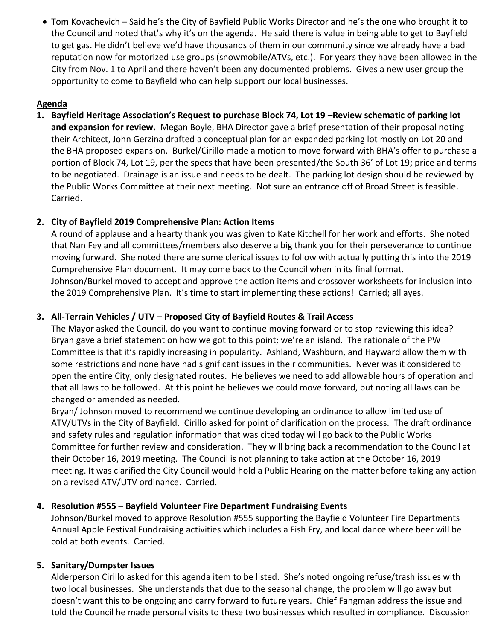• Tom Kovachevich – Said he's the City of Bayfield Public Works Director and he's the one who brought it to the Council and noted that's why it's on the agenda. He said there is value in being able to get to Bayfield to get gas. He didn't believe we'd have thousands of them in our community since we already have a bad reputation now for motorized use groups (snowmobile/ATVs, etc.). For years they have been allowed in the City from Nov. 1 to April and there haven't been any documented problems. Gives a new user group the opportunity to come to Bayfield who can help support our local businesses.

#### **Agenda**

**1. Bayfield Heritage Association's Request to purchase Block 74, Lot 19 –Review schematic of parking lot and expansion for review.** Megan Boyle, BHA Director gave a brief presentation of their proposal noting their Architect, John Gerzina drafted a conceptual plan for an expanded parking lot mostly on Lot 20 and the BHA proposed expansion. Burkel/Cirillo made a motion to move forward with BHA's offer to purchase a portion of Block 74, Lot 19, per the specs that have been presented/the South 36' of Lot 19; price and terms to be negotiated. Drainage is an issue and needs to be dealt. The parking lot design should be reviewed by the Public Works Committee at their next meeting. Not sure an entrance off of Broad Street is feasible. Carried.

## **2. City of Bayfield 2019 Comprehensive Plan: Action Items**

A round of applause and a hearty thank you was given to Kate Kitchell for her work and efforts. She noted that Nan Fey and all committees/members also deserve a big thank you for their perseverance to continue moving forward. She noted there are some clerical issues to follow with actually putting this into the 2019 Comprehensive Plan document. It may come back to the Council when in its final format. Johnson/Burkel moved to accept and approve the action items and crossover worksheets for inclusion into the 2019 Comprehensive Plan. It's time to start implementing these actions! Carried; all ayes.

## **3. All-Terrain Vehicles / UTV – Proposed City of Bayfield Routes & Trail Access**

The Mayor asked the Council, do you want to continue moving forward or to stop reviewing this idea? Bryan gave a brief statement on how we got to this point; we're an island. The rationale of the PW Committee is that it's rapidly increasing in popularity. Ashland, Washburn, and Hayward allow them with some restrictions and none have had significant issues in their communities. Never was it considered to open the entire City, only designated routes. He believes we need to add allowable hours of operation and that all laws to be followed. At this point he believes we could move forward, but noting all laws can be changed or amended as needed.

Bryan/ Johnson moved to recommend we continue developing an ordinance to allow limited use of ATV/UTVs in the City of Bayfield. Cirillo asked for point of clarification on the process. The draft ordinance and safety rules and regulation information that was cited today will go back to the Public Works Committee for further review and consideration. They will bring back a recommendation to the Council at their October 16, 2019 meeting. The Council is not planning to take action at the October 16, 2019 meeting. It was clarified the City Council would hold a Public Hearing on the matter before taking any action on a revised ATV/UTV ordinance. Carried.

## **4. Resolution #555 – Bayfield Volunteer Fire Department Fundraising Events**

Johnson/Burkel moved to approve Resolution #555 supporting the Bayfield Volunteer Fire Departments Annual Apple Festival Fundraising activities which includes a Fish Fry, and local dance where beer will be cold at both events. Carried.

## **5. Sanitary/Dumpster Issues**

Alderperson Cirillo asked for this agenda item to be listed. She's noted ongoing refuse/trash issues with two local businesses. She understands that due to the seasonal change, the problem will go away but doesn't want this to be ongoing and carry forward to future years. Chief Fangman address the issue and told the Council he made personal visits to these two businesses which resulted in compliance. Discussion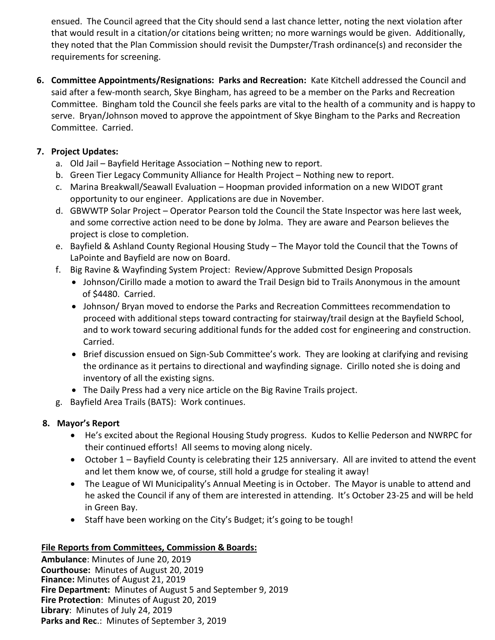ensued. The Council agreed that the City should send a last chance letter, noting the next violation after that would result in a citation/or citations being written; no more warnings would be given. Additionally, they noted that the Plan Commission should revisit the Dumpster/Trash ordinance(s) and reconsider the requirements for screening.

**6. Committee Appointments/Resignations: Parks and Recreation:** Kate Kitchell addressed the Council and said after a few-month search, Skye Bingham, has agreed to be a member on the Parks and Recreation Committee. Bingham told the Council she feels parks are vital to the health of a community and is happy to serve. Bryan/Johnson moved to approve the appointment of Skye Bingham to the Parks and Recreation Committee. Carried.

# **7. Project Updates:**

- a. Old Jail Bayfield Heritage Association Nothing new to report.
- b. Green Tier Legacy Community Alliance for Health Project Nothing new to report.
- c. Marina Breakwall/Seawall Evaluation Hoopman provided information on a new WIDOT grant opportunity to our engineer. Applications are due in November.
- d. GBWWTP Solar Project Operator Pearson told the Council the State Inspector was here last week, and some corrective action need to be done by Jolma. They are aware and Pearson believes the project is close to completion.
- e. Bayfield & Ashland County Regional Housing Study The Mayor told the Council that the Towns of LaPointe and Bayfield are now on Board.
- f. Big Ravine & Wayfinding System Project: Review/Approve Submitted Design Proposals
	- Johnson/Cirillo made a motion to award the Trail Design bid to Trails Anonymous in the amount of \$4480. Carried.
	- Johnson/ Bryan moved to endorse the Parks and Recreation Committees recommendation to proceed with additional steps toward contracting for stairway/trail design at the Bayfield School, and to work toward securing additional funds for the added cost for engineering and construction. Carried.
	- Brief discussion ensued on Sign-Sub Committee's work. They are looking at clarifying and revising the ordinance as it pertains to directional and wayfinding signage. Cirillo noted she is doing and inventory of all the existing signs.
	- The Daily Press had a very nice article on the Big Ravine Trails project.
- g. Bayfield Area Trails (BATS): Work continues.

# **8. Mayor's Report**

- He's excited about the Regional Housing Study progress. Kudos to Kellie Pederson and NWRPC for their continued efforts! All seems to moving along nicely.
- October 1 Bayfield County is celebrating their 125 anniversary. All are invited to attend the event and let them know we, of course, still hold a grudge for stealing it away!
- The League of WI Municipality's Annual Meeting is in October. The Mayor is unable to attend and he asked the Council if any of them are interested in attending. It's October 23-25 and will be held in Green Bay.
- Staff have been working on the City's Budget; it's going to be tough!

# **File Reports from Committees, Commission & Boards:**

**Ambulance**: Minutes of June 20, 2019 **Courthouse:** Minutes of August 20, 2019 **Finance:** Minutes of August 21, 2019 **Fire Department:** Minutes of August 5 and September 9, 2019 **Fire Protection**: Minutes of August 20, 2019 **Library**: Minutes of July 24, 2019 **Parks and Rec**.: Minutes of September 3, 2019